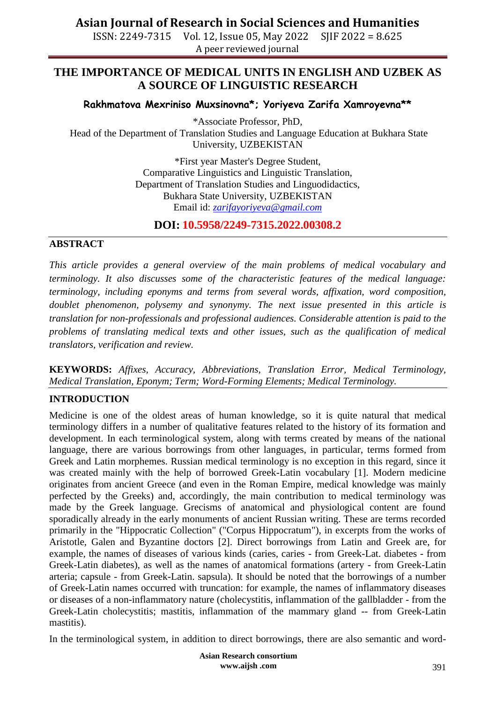ISSN: 2249-7315 Vol. 12, Issue 05, May 2022 SJIF 2022 = 8.625 A peer reviewed journal

### **THE IMPORTANCE OF MEDICAL UNITS IN ENGLISH AND UZBEK AS A SOURCE OF LINGUISTIC RESEARCH**

#### **Rakhmatova Mexriniso Muxsinovna\*; Yoriyeva Zarifa Xamroyevna\*\***

\*Associate Professor, PhD, Head of the Department of Translation Studies and Language Education at Bukhara State University, UZBEKISTAN

> \*First year Master's Degree Student, Comparative Linguistics and Linguistic Translation, Department of Translation Studies and Linguodidactics, Bukhara State University, UZBEKISTAN Email id: *[zarifayoriyeva@gmail.com](mailto:zarifayoriyeva@gmail.com)*

**DOI: 10.5958/2249-7315.2022.00308.2**

#### **ABSTRACT**

*This article provides a general overview of the main problems of medical vocabulary and terminology. It also discusses some of the characteristic features of the medical language: terminology, including eponyms and terms from several words, affixation, word composition, doublet phenomenon, polysemy and synonymy. The next issue presented in this article is translation for non-professionals and professional audiences. Considerable attention is paid to the problems of translating medical texts and other issues, such as the qualification of medical translators, verification and review.*

**KEYWORDS:** *Affixes, Accuracy, Abbreviations, Translation Error, Medical Terminology, Medical Translation, Eponym; Term; Word-Forming Elements; Medical Terminology.*

#### **INTRODUCTION**

Medicine is one of the oldest areas of human knowledge, so it is quite natural that medical terminology differs in a number of qualitative features related to the history of its formation and development. In each terminological system, along with terms created by means of the national language, there are various borrowings from other languages, in particular, terms formed from Greek and Latin morphemes. Russian medical terminology is no exception in this regard, since it was created mainly with the help of borrowed Greek-Latin vocabulary [1]. Modern medicine originates from ancient Greece (and even in the Roman Empire, medical knowledge was mainly perfected by the Greeks) and, accordingly, the main contribution to medical terminology was made by the Greek language. Grecisms of anatomical and physiological content are found sporadically already in the early monuments of ancient Russian writing. These are terms recorded primarily in the "Hippocratic Collection" ("Corpus Hippocratum"), in excerpts from the works of Aristotle, Galen and Byzantine doctors [2]. Direct borrowings from Latin and Greek are, for example, the names of diseases of various kinds (caries, caries - from Greek-Lat. diabetes - from Greek-Latin diabetes), as well as the names of anatomical formations (artery - from Greek-Latin arteria; capsule - from Greek-Latin. sapsula). It should be noted that the borrowings of a number of Greek-Latin names occurred with truncation: for example, the names of inflammatory diseases or diseases of a non-inflammatory nature (cholecystitis, inflammation of the gallbladder - from the Greek-Latin cholecystitis; mastitis, inflammation of the mammary gland -- from Greek-Latin mastitis).

In the terminological system, in addition to direct borrowings, there are also semantic and word-

**Asian Research consortium www.aijsh .com**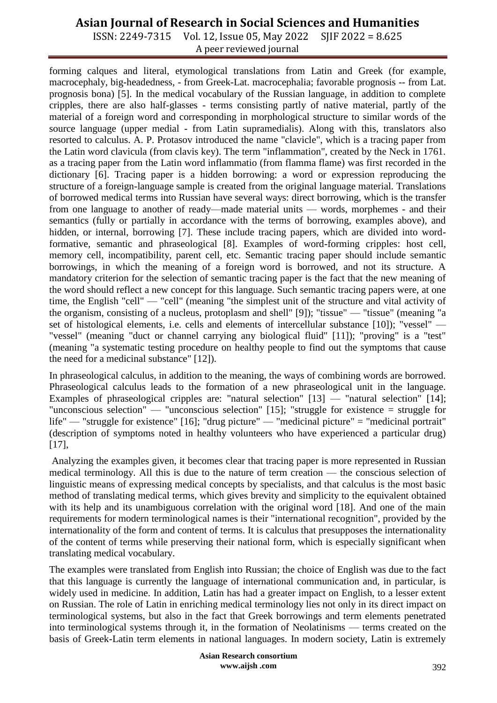ISSN: 2249-7315 Vol. 12, Issue 05, May 2022 SJIF 2022 = 8.625 A peer reviewed journal

forming calques and literal, etymological translations from Latin and Greek (for example, macrocephaly, big-headedness, - from Greek-Lat. macrocephalia; favorable prognosis -- from Lat. prognosis bona) [5]. In the medical vocabulary of the Russian language, in addition to complete cripples, there are also half-glasses - terms consisting partly of native material, partly of the material of a foreign word and corresponding in morphological structure to similar words of the source language (upper medial - from Latin supramedialis). Along with this, translators also resorted to calculus. A. P. Protasov introduced the name "clavicle", which is a tracing paper from the Latin word clavicula (from clavis key). The term "inflammation", created by the Neck in 1761. as a tracing paper from the Latin word inflammatio (from flamma flame) was first recorded in the dictionary [6]. Tracing paper is a hidden borrowing: a word or expression reproducing the structure of a foreign-language sample is created from the original language material. Translations of borrowed medical terms into Russian have several ways: direct borrowing, which is the transfer from one language to another of ready—made material units — words, morphemes - and their semantics (fully or partially in accordance with the terms of borrowing, examples above), and hidden, or internal, borrowing [7]. These include tracing papers, which are divided into wordformative, semantic and phraseological [8]. Examples of word-forming cripples: host cell, memory cell, incompatibility, parent cell, etc. Semantic tracing paper should include semantic borrowings, in which the meaning of a foreign word is borrowed, and not its structure. A mandatory criterion for the selection of semantic tracing paper is the fact that the new meaning of the word should reflect a new concept for this language. Such semantic tracing papers were, at one time, the English "cell" — "cell" (meaning "the simplest unit of the structure and vital activity of the organism, consisting of a nucleus, protoplasm and shell" [9]); "tissue" — "tissue" (meaning "a set of histological elements, i.e. cells and elements of intercellular substance [10]); "vessel" — "vessel" (meaning "duct or channel carrying any biological fluid" [11]); "proving" is a "test" (meaning "a systematic testing procedure on healthy people to find out the symptoms that cause the need for a medicinal substance" [12]).

In phraseological calculus, in addition to the meaning, the ways of combining words are borrowed. Phraseological calculus leads to the formation of a new phraseological unit in the language. Examples of phraseological cripples are: "natural selection" [13] — "natural selection" [14]; "unconscious selection" — "unconscious selection" [15]; "struggle for existence = struggle for life" — "struggle for existence" [16]; "drug picture" — "medicinal picture" = "medicinal portrait" (description of symptoms noted in healthy volunteers who have experienced a particular drug) [17],

Analyzing the examples given, it becomes clear that tracing paper is more represented in Russian medical terminology. All this is due to the nature of term creation — the conscious selection of linguistic means of expressing medical concepts by specialists, and that calculus is the most basic method of translating medical terms, which gives brevity and simplicity to the equivalent obtained with its help and its unambiguous correlation with the original word [18]. And one of the main requirements for modern terminological names is their "international recognition", provided by the internationality of the form and content of terms. It is calculus that presupposes the internationality of the content of terms while preserving their national form, which is especially significant when translating medical vocabulary.

The examples were translated from English into Russian; the choice of English was due to the fact that this language is currently the language of international communication and, in particular, is widely used in medicine. In addition, Latin has had a greater impact on English, to a lesser extent on Russian. The role of Latin in enriching medical terminology lies not only in its direct impact on terminological systems, but also in the fact that Greek borrowings and term elements penetrated into terminological systems through it, in the formation of Neolatinisms — terms created on the basis of Greek-Latin term elements in national languages. In modern society, Latin is extremely

> **Asian Research consortium www.aijsh .com**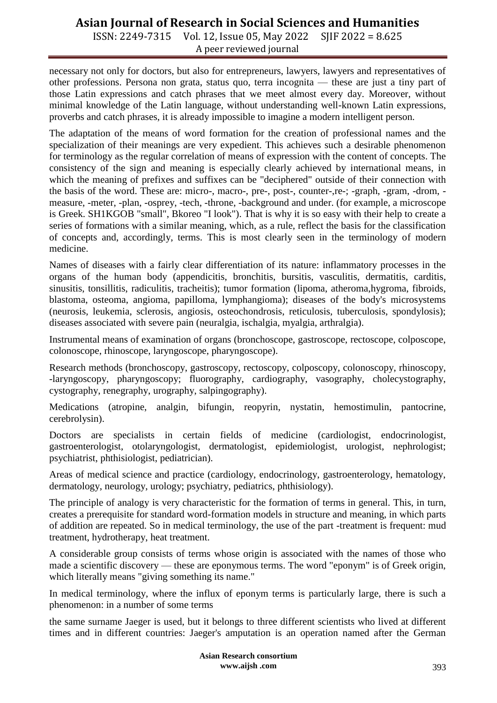ISSN: 2249-7315 Vol. 12, Issue 05, May 2022 SJIF 2022 = 8.625 A peer reviewed journal

necessary not only for doctors, but also for entrepreneurs, lawyers, lawyers and representatives of other professions. Persona non grata, status quo, terra incognita — these are just a tiny part of those Latin expressions and catch phrases that we meet almost every day. Moreover, without minimal knowledge of the Latin language, without understanding well-known Latin expressions, proverbs and catch phrases, it is already impossible to imagine a modern intelligent person.

The adaptation of the means of word formation for the creation of professional names and the specialization of their meanings are very expedient. This achieves such a desirable phenomenon for terminology as the regular correlation of means of expression with the content of concepts. The consistency of the sign and meaning is especially clearly achieved by international means, in which the meaning of prefixes and suffixes can be "deciphered" outside of their connection with the basis of the word. These are: micro-, macro-, pre-, post-, counter-,re-; -graph, -gram, -drom, measure, -meter, -plan, -osprey, -tech, -throne, -background and under. (for example, a microscope is Greek. SH1KGOB "small", Bkoreo "I look"). That is why it is so easy with their help to create a series of formations with a similar meaning, which, as a rule, reflect the basis for the classification of concepts and, accordingly, terms. This is most clearly seen in the terminology of modern medicine.

Names of diseases with a fairly clear differentiation of its nature: inflammatory processes in the organs of the human body (appendicitis, bronchitis, bursitis, vasculitis, dermatitis, carditis, sinusitis, tonsillitis, radiculitis, tracheitis); tumor formation (lipoma, atheroma,hygroma, fibroids, blastoma, osteoma, angioma, papilloma, lymphangioma); diseases of the body's microsystems (neurosis, leukemia, sclerosis, angiosis, osteochondrosis, reticulosis, tuberculosis, spondylosis); diseases associated with severe pain (neuralgia, ischalgia, myalgia, arthralgia).

Instrumental means of examination of organs (bronchoscope, gastroscope, rectoscope, colposcope, colonoscope, rhinoscope, laryngoscope, pharyngoscope).

Research methods (bronchoscopy, gastroscopy, rectoscopy, colposcopy, colonoscopy, rhinoscopy, -laryngoscopy, pharyngoscopy; fluorography, cardiography, vasography, cholecystography, cystography, renegraphy, urography, salpingography).

Medications (atropine, analgin, bifungin, reopyrin, nystatin, hemostimulin, pantocrine, cerebrolysin).

Doctors are specialists in certain fields of medicine (cardiologist, endocrinologist, gastroenterologist, otolaryngologist, dermatologist, epidemiologist, urologist, nephrologist; psychiatrist, phthisiologist, pediatrician).

Areas of medical science and practice (cardiology, endocrinology, gastroenterology, hematology, dermatology, neurology, urology; psychiatry, pediatrics, phthisiology).

The principle of analogy is very characteristic for the formation of terms in general. This, in turn, creates a prerequisite for standard word-formation models in structure and meaning, in which parts of addition are repeated. So in medical terminology, the use of the part -treatment is frequent: mud treatment, hydrotherapy, heat treatment.

A considerable group consists of terms whose origin is associated with the names of those who made a scientific discovery — these are eponymous terms. The word "eponym" is of Greek origin, which literally means "giving something its name."

In medical terminology, where the influx of eponym terms is particularly large, there is such a phenomenon: in a number of some terms

the same surname Jaeger is used, but it belongs to three different scientists who lived at different times and in different countries: Jaeger's amputation is an operation named after the German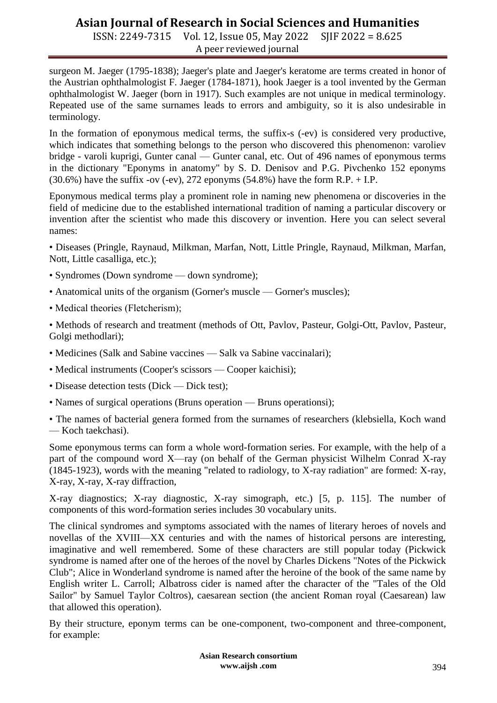ISSN: 2249-7315 Vol. 12, Issue 05, May 2022 SJIF 2022 = 8.625 A peer reviewed journal

surgeon M. Jaeger (1795-1838); Jaeger's plate and Jaeger's keratome are terms created in honor of the Austrian ophthalmologist F. Jaeger (1784-1871), hook Jaeger is a tool invented by the German ophthalmologist W. Jaeger (born in 1917). Such examples are not unique in medical terminology. Repeated use of the same surnames leads to errors and ambiguity, so it is also undesirable in terminology.

In the formation of eponymous medical terms, the suffix-s (-ev) is considered very productive, which indicates that something belongs to the person who discovered this phenomenon: varoliev bridge - varoli kuprigi, Gunter canal — Gunter canal, etc. Out of 496 names of eponymous terms in the dictionary "Eponyms in anatomy" by S. D. Denisov and P.G. Pivchenko 152 eponyms  $(30.6\%)$  have the suffix -ov (-ev), 272 eponyms  $(54.8\%)$  have the form R.P. + I.P.

Eponymous medical terms play a prominent role in naming new phenomena or discoveries in the field of medicine due to the established international tradition of naming a particular discovery or invention after the scientist who made this discovery or invention. Here you can select several names:

• Diseases (Pringle, Raynaud, Milkman, Marfan, Nott, Little Pringle, Raynaud, Milkman, Marfan, Nott, Little casalliga, etc.);

- Syndromes (Down syndrome down syndrome);
- Anatomical units of the organism (Gorner's muscle Gorner's muscles);
- Medical theories (Fletcherism);

• Methods of research and treatment (methods of Ott, Pavlov, Pasteur, Golgi-Ott, Pavlov, Pasteur, Golgi methodlari);

- Medicines (Salk and Sabine vaccines Salk va Sabine vaccinalari);
- Medical instruments (Cooper's scissors Cooper kaichisi);
- Disease detection tests (Dick Dick test);
- Names of surgical operations (Bruns operation Bruns operationsi);

• The names of bacterial genera formed from the surnames of researchers (klebsiella, Koch wand — Koch taekchasi).

Some eponymous terms can form a whole word-formation series. For example, with the help of a part of the compound word X—ray (on behalf of the German physicist Wilhelm Conrad X-ray (1845-1923), words with the meaning "related to radiology, to X-ray radiation" are formed: X-ray, X-ray, X-ray, X-ray diffraction,

X-ray diagnostics; X-ray diagnostic, X-ray simograph, etc.) [5, p. 115]. The number of components of this word-formation series includes 30 vocabulary units.

The clinical syndromes and symptoms associated with the names of literary heroes of novels and novellas of the XVIII—XX centuries and with the names of historical persons are interesting, imaginative and well remembered. Some of these characters are still popular today (Pickwick syndrome is named after one of the heroes of the novel by Charles Dickens "Notes of the Pickwick Club"; Alice in Wonderland syndrome is named after the heroine of the book of the same name by English writer L. Carroll; Albatross cider is named after the character of the "Tales of the Old Sailor" by Samuel Taylor Coltros), caesarean section (the ancient Roman royal (Caesarean) law that allowed this operation).

By their structure, eponym terms can be one-component, two-component and three-component, for example:

> **Asian Research consortium www.aijsh .com**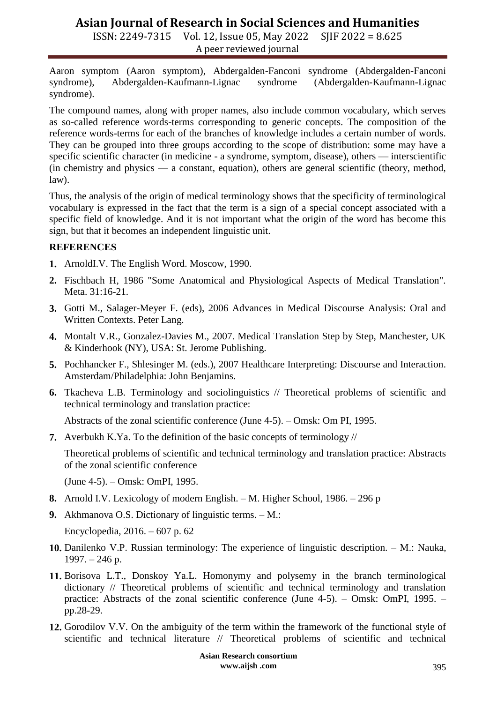ISSN: 2249-7315 Vol. 12, Issue 05, May 2022 SJIF 2022 = 8.625 A peer reviewed journal

Aaron symptom (Aaron symptom), Abdergalden-Fanconi syndrome (Abdergalden-Fanconi syndrome), Abdergalden-Kaufmann-Lignac syndrome (Abdergalden-Kaufmann-Lignac syndrome).

The compound names, along with proper names, also include common vocabulary, which serves as so-called reference words-terms corresponding to generic concepts. The composition of the reference words-terms for each of the branches of knowledge includes a certain number of words. They can be grouped into three groups according to the scope of distribution: some may have a specific scientific character (in medicine - a syndrome, symptom, disease), others — interscientific (in chemistry and physics — a constant, equation), others are general scientific (theory, method, law).

Thus, the analysis of the origin of medical terminology shows that the specificity of terminological vocabulary is expressed in the fact that the term is a sign of a special concept associated with a specific field of knowledge. And it is not important what the origin of the word has become this sign, but that it becomes an independent linguistic unit.

#### **REFERENCES**

- **1.** ArnoldI.V. The English Word. Moscow, 1990.
- **2.** Fischbach H, 1986 "Some Anatomical and Physiological Aspects of Medical Translation". Meta. 31:16-21.
- **3.** Gotti M., Salager-Meyer F. (eds), 2006 Advances in Medical Discourse Analysis: Oral and Written Contexts. Peter Lang.
- **4.** Montalt V.R., Gonzalez-Davies M., 2007. Medical Translation Step by Step, Manchester, UK & Kinderhook (NY), USA: St. Jerome Publishing.
- **5.** Pochhancker F., Shlesinger M. (eds.), 2007 Healthcare Interpreting: Discourse and Interaction. Amsterdam/Philadelphia: John Benjamins.
- **6.** Tkacheva L.B. Terminology and sociolinguistics // Theoretical problems of scientific and technical terminology and translation practice:

Abstracts of the zonal scientific conference (June 4-5). – Omsk: Om PI, 1995.

**7.** Averbukh K.Ya. To the definition of the basic concepts of terminology //

Theoretical problems of scientific and technical terminology and translation practice: Abstracts of the zonal scientific conference

(June 4-5). – Omsk: OmPI, 1995.

- **8.** Arnold I.V. Lexicology of modern English. M. Higher School, 1986. 296 p
- **9.** Akhmanova O.S. Dictionary of linguistic terms. M.:

Encyclopedia, 2016. – 607 p. 62

- **10.** Danilenko V.P. Russian terminology: The experience of linguistic description. M.: Nauka, 1997. – 246 p.
- **11.** Borisova L.T., Donskoy Ya.L. Homonymy and polysemy in the branch terminological dictionary // Theoretical problems of scientific and technical terminology and translation practice: Abstracts of the zonal scientific conference (June 4-5). – Omsk: OmPI, 1995. – pp.28-29.
- **12.** Gorodilov V.V. On the ambiguity of the term within the framework of the functional style of scientific and technical literature // Theoretical problems of scientific and technical